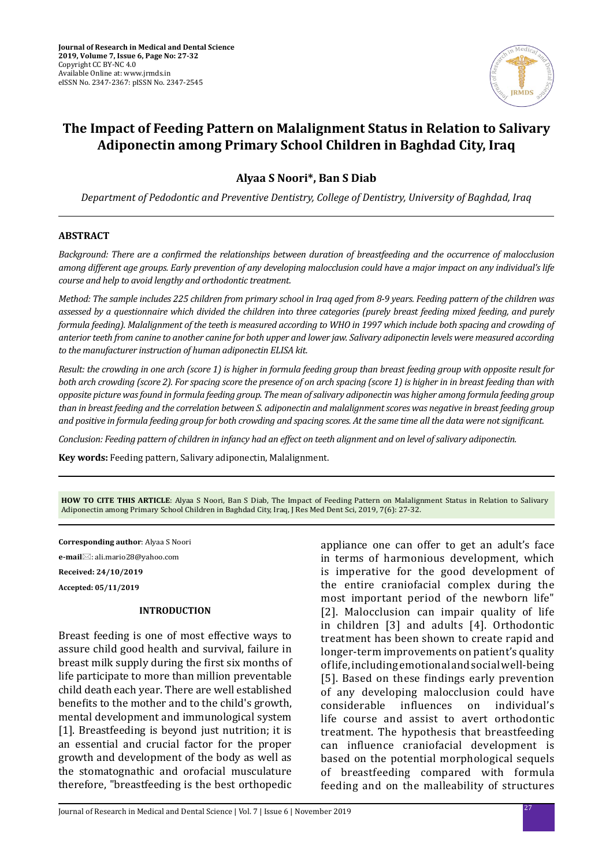

# **The Impact of Feeding Pattern on Malalignment Status in Relation to Salivary Adiponectin among Primary School Children in Baghdad City, Iraq**

**Alyaa S Noori\*, Ban S Diab**

*Department of Pedodontic and Preventive Dentistry, College of Dentistry, University of Baghdad, Iraq*

### **ABSTRACT**

*Background: There are a confirmed the relationships between duration of breastfeeding and the occurrence of malocclusion among different age groups. Early prevention of any developing malocclusion could have a major impact on any individual's life course and help to avoid lengthy and orthodontic treatment.* 

*Method: The sample includes 225 children from primary school in Iraq aged from 8-9 years. Feeding pattern of the children was assessed by a questionnaire which divided the children into three categories (purely breast feeding mixed feeding, and purely formula feeding). Malalignment of the teeth is measured according to WHO in 1997 which include both spacing and crowding of anterior teeth from canine to another canine for both upper and lower jaw. Salivary adiponectin levels were measured according to the manufacturer instruction of human adiponectin ELISA kit.*

*Result: the crowding in one arch (score 1) is higher in formula feeding group than breast feeding group with opposite result for both arch crowding (score 2). For spacing score the presence of on arch spacing (score 1) is higher in in breast feeding than with opposite picture was found in formula feeding group. The mean of salivary adiponectin was higher among formula feeding group than in breast feeding and the correlation between S. adiponectin and malalignment scores was negative in breast feeding group and positive in formula feeding group for both crowding and spacing scores. At the same time all the data were not significant.*

*Conclusion: Feeding pattern of children in infancy had an effect on teeth alignment and on level of salivary adiponectin.*

**Key words:** Feeding pattern, Salivary adiponectin, Malalignment.

**HOW TO CITE THIS ARTICLE**: Alyaa S Noori, Ban S Diab, The Impact of Feeding Pattern on Malalignment Status in Relation to Salivary Adiponectin among Primary School Children in Baghdad City, Iraq, J Res Med Dent Sci, 2019, 7(6): 27-32.

**Corresponding author**: Alyaa S Noori **e-mail**: ali.mario28@yahoo.com **Received: 24/10/2019**

**Accepted: 05/11/2019**

#### **INTRODUCTION**

Breast feeding is one of most effective ways to assure child good health and survival, failure in breast milk supply during the first six months of life participate to more than million preventable child death each year. There are well established benefits to the mother and to the child's growth, mental development and immunological system [1]. Breastfeeding is beyond just nutrition; it is an essential and crucial factor for the proper growth and development of the body as well as the stomatognathic and orofacial musculature therefore, "breastfeeding is the best orthopedic appliance one can offer to get an adult's face in terms of harmonious development, which is imperative for the good development of the entire craniofacial complex during the most important period of the newborn life" [2]. Malocclusion can impair quality of life in children [3] and adults [4]. Orthodontic treatment has been shown to create rapid and longer-term improvements on patient's quality of life, including emotional and social well-being [5]. Based on these findings early prevention of any developing malocclusion could have<br>considerable influences on individual's individual's life course and assist to avert orthodontic treatment. The hypothesis that breastfeeding can influence craniofacial development is based on the potential morphological sequels of breastfeeding compared with formula feeding and on the malleability of structures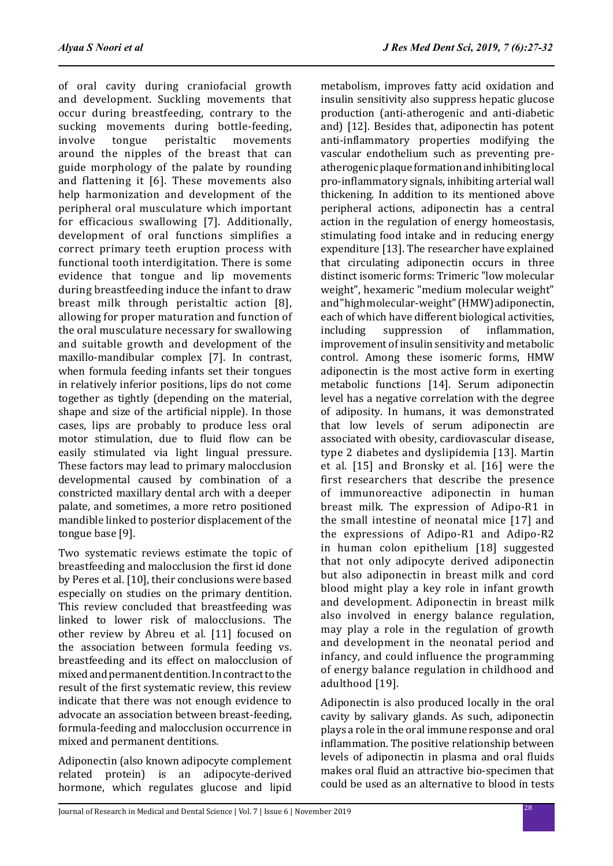of oral cavity during craniofacial growth and development. Suckling movements that occur during breastfeeding, contrary to the sucking movements during bottle-feeding,<br>involve tongue peristaltic movements peristaltic around the nipples of the breast that can guide morphology of the palate by rounding and flattening it [6]. These movements also help harmonization and development of the peripheral oral musculature which important for efficacious swallowing [7]. Additionally, development of oral functions simplifies a correct primary teeth eruption process with functional tooth interdigitation. There is some evidence that tongue and lip movements during breastfeeding induce the infant to draw breast milk through peristaltic action [8], allowing for proper maturation and function of the oral musculature necessary for swallowing and suitable growth and development of the maxillo-mandibular complex [7]. In contrast, when formula feeding infants set their tongues in relatively inferior positions, lips do not come together as tightly (depending on the material, shape and size of the artificial nipple). In those cases, lips are probably to produce less oral motor stimulation, due to fluid flow can be easily stimulated via light lingual pressure. These factors may lead to primary malocclusion developmental caused by combination of a constricted maxillary dental arch with a deeper palate, and sometimes, a more retro positioned mandible linked to posterior displacement of the tongue base [9].

Two systematic reviews estimate the topic of breastfeeding and malocclusion the first id done by Peres et al. [10], their conclusions were based especially on studies on the primary dentition. This review concluded that breastfeeding was linked to lower risk of malocclusions. The other review by Abreu et al. [11] focused on the association between formula feeding vs. breastfeeding and its effect on malocclusion of mixed and permanent dentition. In contract to the result of the first systematic review, this review indicate that there was not enough evidence to advocate an association between breast-feeding, formula-feeding and malocclusion occurrence in mixed and permanent dentitions.

Adiponectin (also known adipocyte complement related protein) is an adipocyte-derived hormone, which regulates glucose and lipid metabolism, improves fatty acid oxidation and insulin sensitivity also suppress hepatic glucose production (anti-atherogenic and anti-diabetic and) [12]. Besides that, adiponectin has potent anti-inflammatory properties modifying the vascular endothelium such as preventing preatherogenic plaque formation and inhibiting local pro-inflammatory signals, inhibiting arterial wall thickening. In addition to its mentioned above peripheral actions, adiponectin has a central action in the regulation of energy homeostasis, stimulating food intake and in reducing energy expenditure [13]. The researcher have explained that circulating adiponectin occurs in three distinct isomeric forms: Trimeric "low molecular weight", hexameric "medium molecular weight" and "high molecular-weight" (HMW) adiponectin, each of which have different biological activities,<br>including suppression of inflammation. inflammation. improvement of insulin sensitivity and metabolic control. Among these isomeric forms, HMW adiponectin is the most active form in exerting metabolic functions [14]. Serum adiponectin level has a negative correlation with the degree of adiposity. In humans, it was demonstrated that low levels of serum adiponectin are associated with obesity, cardiovascular disease, type 2 diabetes and dyslipidemia [13]. Martin et al. [15] and Bronsky et al. [16] were the first researchers that describe the presence of immunoreactive adiponectin in human breast milk. The expression of Adipo-R1 in the small intestine of neonatal mice [17] and the expressions of Adipo-R1 and Adipo-R2 in human colon epithelium [18] suggested that not only adipocyte derived adiponectin but also adiponectin in breast milk and cord blood might play a key role in infant growth and development. Adiponectin in breast milk also involved in energy balance regulation, may play a role in the regulation of growth and development in the neonatal period and infancy, and could influence the programming of energy balance regulation in childhood and adulthood [19].

Adiponectin is also produced locally in the oral cavity by salivary glands. As such, adiponectin plays a role in the oral immune response and oral inflammation. The positive relationship between levels of adiponectin in plasma and oral fluids makes oral fluid an attractive bio-specimen that could be used as an alternative to blood in tests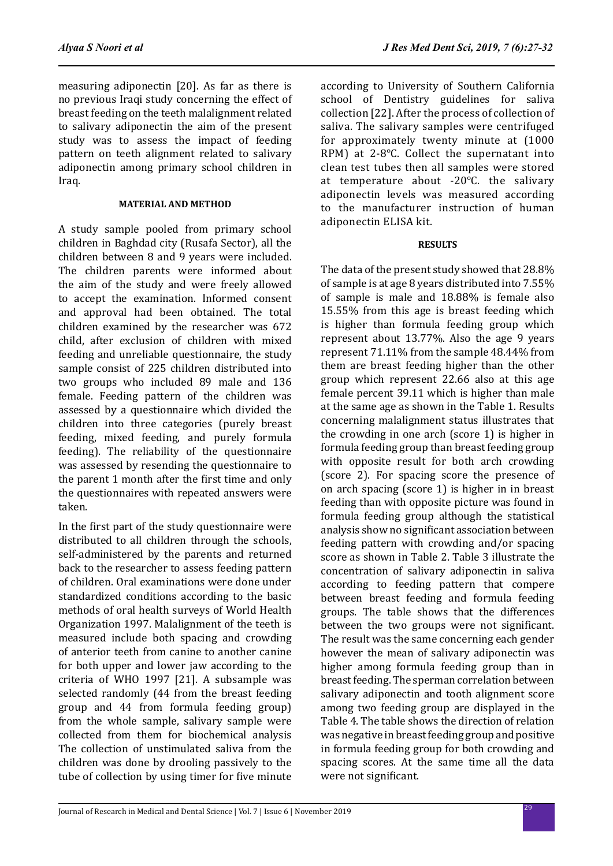measuring adiponectin [20]. As far as there is no previous Iraqi study concerning the effect of breast feeding on the teeth malalignment related to salivary adiponectin the aim of the present study was to assess the impact of feeding pattern on teeth alignment related to salivary adiponectin among primary school children in Iraq.

### **MATERIAL AND METHOD**

A study sample pooled from primary school children in Baghdad city (Rusafa Sector), all the children between 8 and 9 years were included. The children parents were informed about the aim of the study and were freely allowed to accept the examination. Informed consent and approval had been obtained. The total children examined by the researcher was 672 child, after exclusion of children with mixed feeding and unreliable questionnaire, the study sample consist of 225 children distributed into two groups who included 89 male and 136 female. Feeding pattern of the children was assessed by a questionnaire which divided the children into three categories (purely breast feeding, mixed feeding, and purely formula feeding). The reliability of the questionnaire was assessed by resending the questionnaire to the parent 1 month after the first time and only the questionnaires with repeated answers were taken.

In the first part of the study questionnaire were distributed to all children through the schools, self-administered by the parents and returned back to the researcher to assess feeding pattern of children. Oral examinations were done under standardized conditions according to the basic methods of oral health surveys of World Health Organization 1997. Malalignment of the teeth is measured include both spacing and crowding of anterior teeth from canine to another canine for both upper and lower jaw according to the criteria of WHO 1997 [21]. A subsample was selected randomly (44 from the breast feeding group and 44 from formula feeding group) from the whole sample, salivary sample were collected from them for biochemical analysis The collection of unstimulated saliva from the children was done by drooling passively to the tube of collection by using timer for five minute according to University of Southern California school of Dentistry guidelines for saliva collection [22]. After the process of collection of saliva. The salivary samples were centrifuged for approximately twenty minute at (1000 RPM) at 2-8℃. Collect the supernatant into clean test tubes then all samples were stored at temperature about -20℃. the salivary adiponectin levels was measured according to the manufacturer instruction of human adiponectin ELISA kit.

# **RESULTS**

The data of the present study showed that 28.8% of sample is at age 8 years distributed into 7.55% of sample is male and 18.88% is female also 15.55% from this age is breast feeding which is higher than formula feeding group which represent about 13.77%. Also the age 9 years represent 71.11% from the sample 48.44% from them are breast feeding higher than the other group which represent 22.66 also at this age female percent 39.11 which is higher than male at the same age as shown in the Table 1. Results concerning malalignment status illustrates that the crowding in one arch (score 1) is higher in formula feeding group than breast feeding group with opposite result for both arch crowding (score 2). For spacing score the presence of on arch spacing (score 1) is higher in in breast feeding than with opposite picture was found in formula feeding group although the statistical analysis show no significant association between feeding pattern with crowding and/or spacing score as shown in Table 2. Table 3 illustrate the concentration of salivary adiponectin in saliva according to feeding pattern that compere between breast feeding and formula feeding groups. The table shows that the differences between the two groups were not significant. The result was the same concerning each gender however the mean of salivary adiponectin was higher among formula feeding group than in breast feeding. The sperman correlation between salivary adiponectin and tooth alignment score among two feeding group are displayed in the Table 4. The table shows the direction of relation was negative in breast feeding group and positive in formula feeding group for both crowding and spacing scores. At the same time all the data were not significant.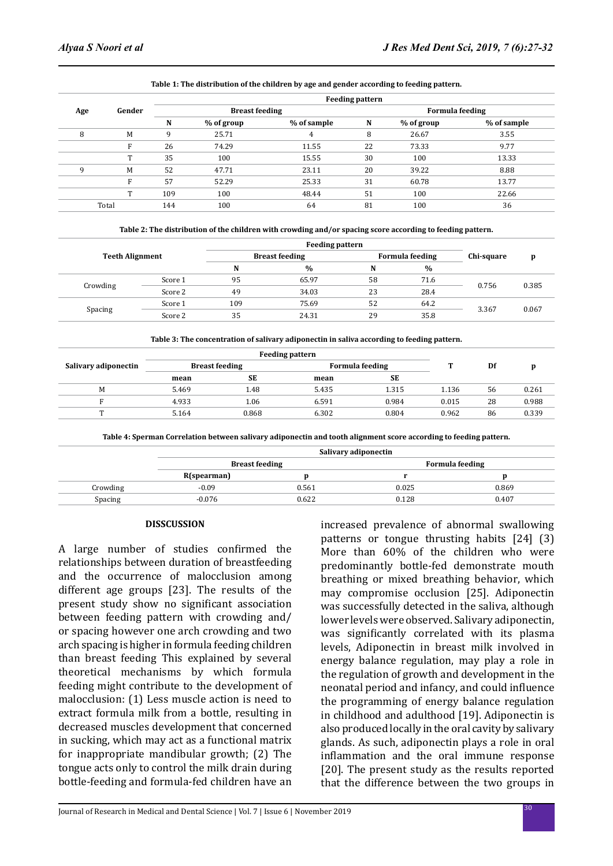|       | Gender | <b>Feeding pattern</b> |                       |             |    |                        |             |  |  |
|-------|--------|------------------------|-----------------------|-------------|----|------------------------|-------------|--|--|
| Age   |        |                        | <b>Breast feeding</b> |             |    | <b>Formula feeding</b> |             |  |  |
|       |        | N                      | % of group            | % of sample | N  | % of group             | % of sample |  |  |
| 8     | M      | 9                      | 25.71                 | 4           | 8  | 26.67                  | 3.55        |  |  |
|       | F      | 26                     | 74.29                 | 11.55       | 22 | 73.33                  | 9.77        |  |  |
|       | T      | 35                     | 100                   | 15.55       | 30 | 100                    | 13.33       |  |  |
| q     | M      | 52                     | 47.71                 | 23.11       | 20 | 39.22                  | 8.88        |  |  |
|       | F      | 57                     | 52.29                 | 25.33       | 31 | 60.78                  | 13.77       |  |  |
|       | т      | 109                    | 100                   | 48.44       | 51 | 100                    | 22.66       |  |  |
| Total |        | 144                    | 100                   | 64          | 81 | 100                    | 36          |  |  |

#### **Table 1: The distribution of the children by age and gender according to feeding pattern.**

|          | <b>Teeth Alignment</b> |     | <b>Breast feeding</b> | <b>Formula feeding</b> |               | Chi-square | p     |
|----------|------------------------|-----|-----------------------|------------------------|---------------|------------|-------|
|          |                        |     | $\frac{0}{0}$         | N                      | $\frac{0}{0}$ |            |       |
|          | Score 1                | 95  | 65.97                 | 58                     | 71.6          | 0.756      | 0.385 |
| Crowding | Score 2                | 49  | 34.03                 | 23                     | 28.4          |            |       |
|          | Score 1                | 109 | 75.69                 | 52                     | 64.2          | 3.367      | 0.067 |
| Spacing  | Score 2                | 35  | 24.31                 | 29                     | 35.8          |            |       |

| Table 3: The concentration of salivary adiponectin in saliva according to feeding pattern. |  |  |
|--------------------------------------------------------------------------------------------|--|--|
|                                                                                            |  |  |

|                      | <b>Feeding pattern</b> |       |                        |       |       |    |       |
|----------------------|------------------------|-------|------------------------|-------|-------|----|-------|
| Salivary adiponectin | <b>Breast feeding</b>  |       | <b>Formula feeding</b> |       |       | Df |       |
|                      | mean                   | SЕ    | mean                   | SЕ    |       |    |       |
| M                    | 5.469                  | 1.48  | 5.435                  | 1.315 | 1.136 | 56 | 0.261 |
|                      | 4.933                  | 1.06  | 6.591                  | 0.984 | 0.015 | 28 | 0.988 |
| m                    | 5.164                  | 0.868 | 6.302                  | 0.804 | 0.962 | 86 | 0.339 |

**Table 4: Sperman Correlation between salivary adiponectin and tooth alignment score according to feeding pattern.**

|          | Salivary adiponectin  |       |                        |       |  |  |
|----------|-----------------------|-------|------------------------|-------|--|--|
|          | <b>Breast feeding</b> |       | <b>Formula feeding</b> |       |  |  |
|          | R(spearman)           |       |                        |       |  |  |
| Crowding | $-0.09$               | 0.561 | 0.025                  | 0.869 |  |  |
| Spacing  | $-0.076$              | 0.622 | 0.128                  | 0.407 |  |  |

#### **DISSCUSSION**

A large number of studies confirmed the relationships between duration of breastfeeding and the occurrence of malocclusion among different age groups [23]. The results of the present study show no significant association between feeding pattern with crowding and/ or spacing however one arch crowding and two arch spacing is higher in formula feeding children than breast feeding This explained by several theoretical mechanisms by which formula feeding might contribute to the development of malocclusion: (1) Less muscle action is need to extract formula milk from a bottle, resulting in decreased muscles development that concerned in sucking, which may act as a functional matrix for inappropriate mandibular growth; (2) The tongue acts only to control the milk drain during bottle-feeding and formula-fed children have an increased prevalence of abnormal swallowing patterns or tongue thrusting habits [24] (3) More than 60% of the children who were predominantly bottle-fed demonstrate mouth breathing or mixed breathing behavior, which may compromise occlusion [25]. Adiponectin was successfully detected in the saliva, although lower levels were observed. Salivary adiponectin, was significantly correlated with its plasma levels, Adiponectin in breast milk involved in energy balance regulation, may play a role in the regulation of growth and development in the neonatal period and infancy, and could influence the programming of energy balance regulation in childhood and adulthood [19]. Adiponectin is also produced locally in the oral cavity by salivary glands. As such, adiponectin plays a role in oral inflammation and the oral immune response [20]. The present study as the results reported that the difference between the two groups in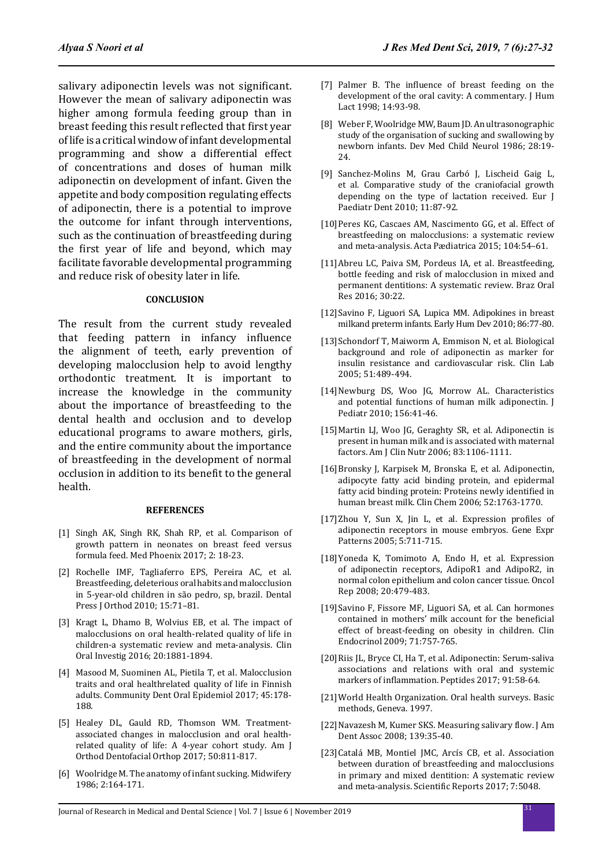salivary adiponectin levels was not significant. However the mean of salivary adiponectin was higher among formula feeding group than in breast feeding this result reflected that first year of life is a critical window of infant developmental programming and show a differential effect of concentrations and doses of human milk adiponectin on development of infant. Given the appetite and body composition regulating effects of adiponectin, there is a potential to improve the outcome for infant through interventions, such as the continuation of breastfeeding during the first year of life and beyond, which may facilitate favorable developmental programming and reduce risk of obesity later in life.

# **CONCLUSION**

The result from the current study revealed that feeding pattern in infancy influence the alignment of teeth, early prevention of developing malocclusion help to avoid lengthy orthodontic treatment. It is important to increase the knowledge in the community about the importance of breastfeeding to the dental health and occlusion and to develop educational programs to aware mothers, girls, and the entire community about the importance of breastfeeding in the development of normal occlusion in addition to its benefit to the general health.

#### **REFERENCES**

- [1] Singh AK, Singh RK, Shah RP, et al. Comparison of growth pattern in neonates on breast feed versus formula feed. Med Phoenix 2017; 2: 18-23.
- [2] Rochelle IMF, Tagliaferro EPS, Pereira AC, et al. Breastfeeding, deleterious oral habits and malocclusion in 5-year-old children in são pedro, sp, brazil. Dental Press J Orthod 2010; 15:71–81.
- [3] Kragt L, Dhamo B, Wolvius EB, et al. The impact of malocclusions on oral health-related quality of life in children-a systematic review and meta-analysis. Clin Oral Investig 2016; 20:1881-1894.
- [4] Masood M, Suominen AL, Pietila T, et al. Malocclusion traits and oral healthrelated quality of life in Finnish adults. Community Dent Oral Epidemiol 2017; 45:178- 188.
- [5] Healey DL, Gauld RD, Thomson WM. Treatmentassociated changes in malocclusion and oral healthrelated quality of life: A 4-year cohort study. Am J Orthod Dentofacial Orthop 2017; 50:811-817.
- [6] Woolridge M. The anatomy of infant sucking. Midwifery 1986; 2:164-171.
- [7] Palmer B. The influence of breast feeding on the development of the oral cavity: A commentary. J Hum Lact 1998; 14:93-98.
- [8] Weber F, Woolridge MW, Baum JD. An ultrasonographic study of the organisation of sucking and swallowing by newborn infants. Dev Med Child Neurol 1986; 28:19- 24.
- [9] Sanchez-Molins M, Grau Carbó J, Lischeid Gaig L, et al. Comparative study of the craniofacial growth depending on the type of lactation received. Eur J Paediatr Dent 2010; 11:87-92.
- [10]Peres KG, Cascaes AM, Nascimento GG, et al. Effect of breastfeeding on malocclusions: a systematic review and meta-analysis. Acta Pædiatrica 2015; 104:54–61.
- [11]Abreu LC, Paiva SM, Pordeus IA, et al. Breastfeeding, bottle feeding and risk of malocclusion in mixed and permanent dentitions: A systematic review. Braz Oral Res 2016; 30:22.
- [12]Savino F, Liguori SA, Lupica MM. Adipokines in breast milkand preterm infants. Early Hum Dev 2010; 86:77-80.
- [13]Schondorf T, Maiworm A, Emmison N, et al. Biological background and role of adiponectin as marker for insulin resistance and cardiovascular risk. Clin Lab 2005; 51:489-494.
- [14]Newburg DS, Woo JG, Morrow AL. Characteristics and potential functions of human milk adiponectin. J Pediatr 2010; 156:41-46.
- [15]Martin LJ, Woo JG, Geraghty SR, et al. Adiponectin is present in human milk and is associated with maternal factors. Am J Clin Nutr 2006; 83:1106-1111.
- [16]Bronsky J, Karpisek M, Bronska E, et al. Adiponectin, adipocyte fatty acid binding protein, and epidermal fatty acid binding protein: Proteins newly identified in human breast milk. Clin Chem 2006; 52:1763-1770.
- [17]Zhou Y, Sun X, Jin L, et al. Expression profiles of adiponectin receptors in mouse embryos. Gene Expr Patterns 2005; 5:711-715.
- [18]Yoneda K, Tomimoto A, Endo H, et al. Expression of adiponectin receptors, AdipoR1 and AdipoR2, in normal colon epithelium and colon cancer tissue. Oncol Rep 2008; 20:479-483.
- [19]Savino F, Fissore MF, Liguori SA, et al. Can hormones contained in mothers' milk account for the beneficial effect of breast-feeding on obesity in children. Clin Endocrinol 2009; 71:757-765.
- [20]Riis JL, Bryce CI, Ha T, et al. Adiponectin: Serum-saliva associations and relations with oral and systemic markers of inflammation. Peptides 2017; 91:58-64.
- [21]World Health Organization. Oral health surveys. Basic methods, Geneva. 1997.
- [22] Navazesh M, Kumer SKS. Measuring salivary flow. J Am Dent Assoc 2008; 139:35-40.
- [23]Catalá MB, Montiel JMC, Arcís CB, et al. Association between duration of breastfeeding and malocclusions in primary and mixed dentition: A systematic review and meta-analysis. Scientific Reports 2017; 7:5048.